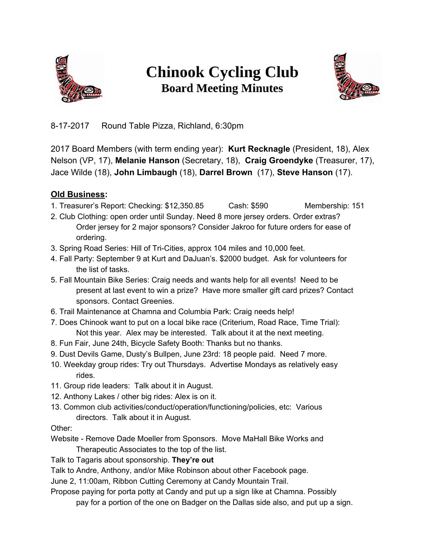

## **Chinook Cycling Club Board Meeting Minutes**



8-17-2017 Round Table Pizza, Richland, 6:30pm

2017 Board Members (with term ending year): **Kurt Recknagle** (President, 18), Alex Nelson (VP, 17), **Melanie Hanson** (Secretary, 18), **Craig Groendyke** (Treasurer, 17), Jace Wilde (18), **John Limbaugh** (18), **Darrel Brown** (17), **Steve Hanson** (17).

## **Old Business:**

- 1. Treasurer's Report: Checking: \$12,350.85 Cash: \$590 Membership: 151
- 2. Club Clothing: open order until Sunday. Need 8 more jersey orders. Order extras? Order jersey for 2 major sponsors? Consider Jakroo for future orders for ease of ordering.
- 3. Spring Road Series: Hill of Tri-Cities, approx 104 miles and 10,000 feet.
- 4. Fall Party: September 9 at Kurt and DaJuan's. \$2000 budget. Ask for volunteers for the list of tasks.
- 5. Fall Mountain Bike Series: Craig needs and wants help for all events! Need to be present at last event to win a prize? Have more smaller gift card prizes? Contact sponsors. Contact Greenies.
- 6. Trail Maintenance at Chamna and Columbia Park: Craig needs help!
- 7. Does Chinook want to put on a local bike race (Criterium, Road Race, Time Trial): Not this year. Alex may be interested. Talk about it at the next meeting.
- 8. Fun Fair, June 24th, Bicycle Safety Booth: Thanks but no thanks.
- 9. Dust Devils Game, Dusty's Bullpen, June 23rd: 18 people paid. Need 7 more.
- 10. Weekday group rides: Try out Thursdays. Advertise Mondays as relatively easy rides.
- 11. Group ride leaders: Talk about it in August.
- 12. Anthony Lakes / other big rides: Alex is on it.
- 13. Common club activities/conduct/operation/functioning/policies, etc: Various directors. Talk about it in August.

Other:

- Website Remove Dade Moeller from Sponsors. Move MaHall Bike Works and Therapeutic Associates to the top of the list.
- Talk to Tagaris about sponsorship. **They're out**

Talk to Andre, Anthony, and/or Mike Robinson about other Facebook page.

June 2, 11:00am, Ribbon Cutting Ceremony at Candy Mountain Trail.

Propose paying for porta potty at Candy and put up a sign like at Chamna. Possibly pay for a portion of the one on Badger on the Dallas side also, and put up a sign.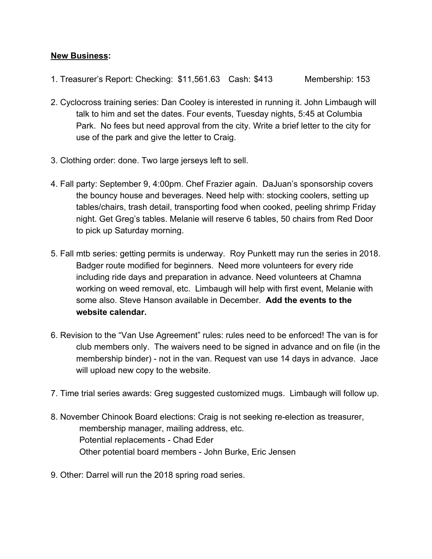## **New Business:**

- 1. Treasurer's Report: Checking: \$11,561.63 Cash: \$413 Membership: 153
- 2. Cyclocross training series: Dan Cooley is interested in running it. John Limbaugh will talk to him and set the dates. Four events, Tuesday nights, 5:45 at Columbia Park. No fees but need approval from the city. Write a brief letter to the city for use of the park and give the letter to Craig.
- 3. Clothing order: done. Two large jerseys left to sell.
- 4. Fall party: September 9, 4:00pm. Chef Frazier again. DaJuan's sponsorship covers the bouncy house and beverages. Need help with: stocking coolers, setting up tables/chairs, trash detail, transporting food when cooked, peeling shrimp Friday night. Get Greg's tables. Melanie will reserve 6 tables, 50 chairs from Red Door to pick up Saturday morning.
- 5. Fall mtb series: getting permits is underway. Roy Punkett may run the series in 2018. Badger route modified for beginners. Need more volunteers for every ride including ride days and preparation in advance. Need volunteers at Chamna working on weed removal, etc. Limbaugh will help with first event, Melanie with some also. Steve Hanson available in December. **Add the events to the website calendar.**
- 6. Revision to the "Van Use Agreement" rules: rules need to be enforced! The van is for club members only. The waivers need to be signed in advance and on file (in the membership binder) - not in the van. Request van use 14 days in advance. Jace will upload new copy to the website.
- 7. Time trial series awards: Greg suggested customized mugs. Limbaugh will follow up.
- 8. November Chinook Board elections: Craig is not seeking re-election as treasurer, membership manager, mailing address, etc. Potential replacements - Chad Eder Other potential board members - John Burke, Eric Jensen
- 9. Other: Darrel will run the 2018 spring road series.